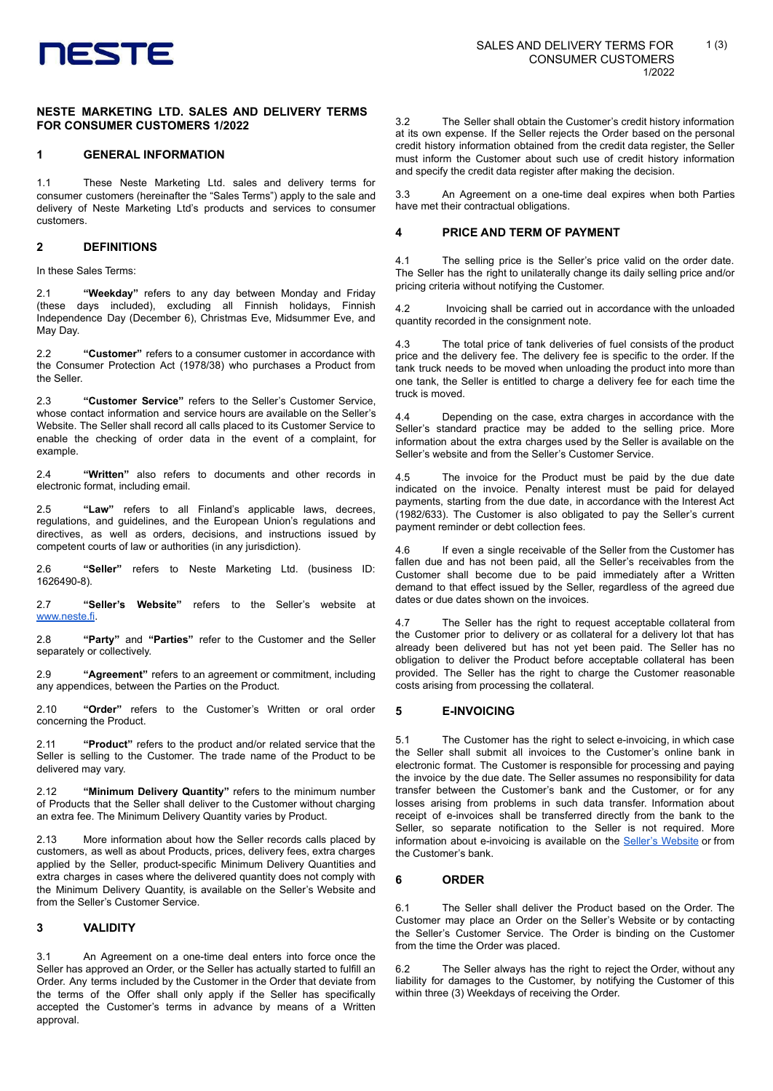

### **NESTE MARKETING LTD. SALES AND DELIVERY TERMS FOR CONSUMER CUSTOMERS 1/2022**

### **1 GENERAL INFORMATION**

1.1 These Neste Marketing Ltd. sales and delivery terms for consumer customers (hereinafter the "Sales Terms") apply to the sale and delivery of Neste Marketing Ltd's products and services to consumer customers.

### **2 DEFINITIONS**

In these Sales Terms:

2.1 **"Weekday"** refers to any day between Monday and Friday (these days included), excluding all Finnish holidays, Finnish Independence Day (December 6), Christmas Eve, Midsummer Eve, and May Day.

2.2 **"Customer"** refers to a consumer customer in accordance with the Consumer Protection Act (1978/38) who purchases a Product from the Seller.

2.3 **"Customer Service"** refers to the Seller's Customer Service, whose contact information and service hours are available on the Seller's Website. The Seller shall record all calls placed to its Customer Service to enable the checking of order data in the event of a complaint, for example

2.4 **"Written"** also refers to documents and other records in electronic format, including email.

"Law" refers to all Finland's applicable laws, decrees, regulations, and guidelines, and the European Union's regulations and directives, as well as orders, decisions, and instructions issued by competent courts of law or authorities (in any jurisdiction).

2.6 **"Seller"** refers to Neste Marketing Ltd. (business ID: 1626490-8).

2.7 **"Seller's Website"** refers to the Seller's website at [www.neste.fi](http://www.neste.fi/).

2.8 **"Party"** and **"Parties"** refer to the Customer and the Seller separately or collectively.

2.9 **"Agreement"** refers to an agreement or commitment, including any appendices, between the Parties on the Product.

2.10 **"Order"** refers to the Customer's Written or oral order concerning the Product.

2.11 **"Product"** refers to the product and/or related service that the Seller is selling to the Customer. The trade name of the Product to be delivered may vary.

2.12 **"Minimum Delivery Quantity"** refers to the minimum number of Products that the Seller shall deliver to the Customer without charging an extra fee. The Minimum Delivery Quantity varies by Product.

2.13 More information about how the Seller records calls placed by customers, as well as about Products, prices, delivery fees, extra charges applied by the Seller, product-specific Minimum Delivery Quantities and extra charges in cases where the delivered quantity does not comply with the Minimum Delivery Quantity, is available on the Seller's Website and from the Seller's Customer Service.

# **3 VALIDITY**

3.1 An Agreement on a one-time deal enters into force once the Seller has approved an Order, or the Seller has actually started to fulfill an Order. Any terms included by the Customer in the Order that deviate from the terms of the Offer shall only apply if the Seller has specifically accepted the Customer's terms in advance by means of a Written approval.

3.2 The Seller shall obtain the Customer's credit history information at its own expense. If the Seller rejects the Order based on the personal credit history information obtained from the credit data register, the Seller must inform the Customer about such use of credit history information and specify the credit data register after making the decision.

3.3 An Agreement on a one-time deal expires when both Parties have met their contractual obligations.

#### **4 PRICE AND TERM OF PAYMENT**

4.1 The selling price is the Seller's price valid on the order date. The Seller has the right to unilaterally change its daily selling price and/or pricing criteria without notifying the Customer.

4.2 Invoicing shall be carried out in accordance with the unloaded quantity recorded in the consignment note.

4.3 The total price of tank deliveries of fuel consists of the product price and the delivery fee. The delivery fee is specific to the order. If the tank truck needs to be moved when unloading the product into more than one tank, the Seller is entitled to charge a delivery fee for each time the truck is moved.

4.4 Depending on the case, extra charges in accordance with the Seller's standard practice may be added to the selling price. More information about the extra charges used by the Seller is available on the Seller's website and from the Seller's Customer Service.

4.5 The invoice for the Product must be paid by the due date indicated on the invoice. Penalty interest must be paid for delayed payments, starting from the due date, in accordance with the Interest Act (1982/633). The Customer is also obligated to pay the Seller's current payment reminder or debt collection fees.

4.6 If even a single receivable of the Seller from the Customer has fallen due and has not been paid, all the Seller's receivables from the Customer shall become due to be paid immediately after a Written demand to that effect issued by the Seller, regardless of the agreed due dates or due dates shown on the invoices.

4.7 The Seller has the right to request acceptable collateral from the Customer prior to delivery or as collateral for a delivery lot that has already been delivered but has not yet been paid. The Seller has no obligation to deliver the Product before acceptable collateral has been provided. The Seller has the right to charge the Customer reasonable costs arising from processing the collateral.

#### **5 E-INVOICING**

5.1 The Customer has the right to select e-invoicing, in which case the Seller shall submit all invoices to the Customer's online bank in electronic format. The Customer is responsible for processing and paying the invoice by the due date. The Seller assumes no responsibility for data transfer between the Customer's bank and the Customer, or for any losses arising from problems in such data transfer. Information about receipt of e-invoices shall be transferred directly from the bank to the Seller, so separate notification to the Seller is not required. More information about e-invoicing is available on the Seller's [Website](https://www.neste.fi/artikkeli/e-lasku-ohjeet-kohta-kohdalta) or from the Customer's bank.

#### **6 ORDER**

6.1 The Seller shall deliver the Product based on the Order. The Customer may place an Order on the Seller's Website or by contacting the Seller's Customer Service. The Order is binding on the Customer from the time the Order was placed.

6.2 The Seller always has the right to reject the Order, without any liability for damages to the Customer, by notifying the Customer of this within three (3) Weekdays of receiving the Order.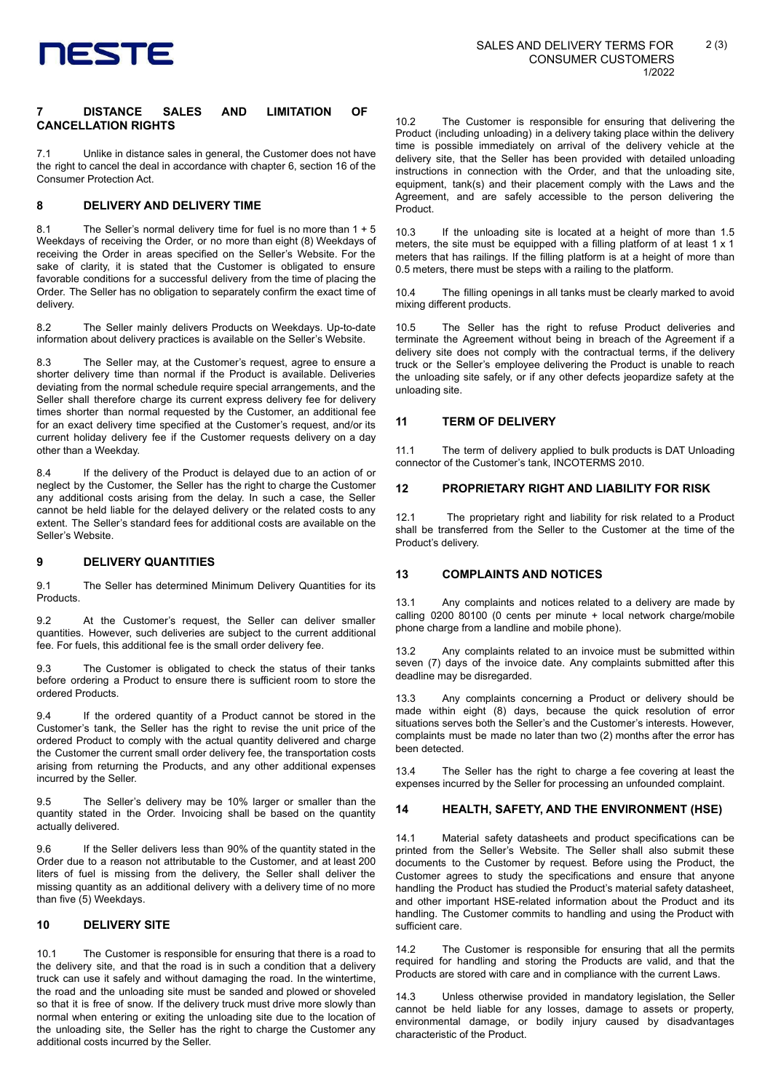

## **7 DISTANCE SALES AND LIMITATION OF CANCELLATION RIGHTS**

7.1 Unlike in distance sales in general, the Customer does not have the right to cancel the deal in accordance with chapter 6, section 16 of the Consumer Protection Act.

# **8 DELIVERY AND DELIVERY TIME**

8.1 The Seller's normal delivery time for fuel is no more than 1 + 5 Weekdays of receiving the Order, or no more than eight (8) Weekdays of receiving the Order in areas specified on the Seller's Website. For the sake of clarity, it is stated that the Customer is obligated to ensure favorable conditions for a successful delivery from the time of placing the Order. The Seller has no obligation to separately confirm the exact time of delivery.

8.2 The Seller mainly delivers Products on Weekdays. Up-to-date information about delivery practices is available on the Seller's Website.

8.3 The Seller may, at the Customer's request, agree to ensure a shorter delivery time than normal if the Product is available. Deliveries deviating from the normal schedule require special arrangements, and the Seller shall therefore charge its current express delivery fee for delivery times shorter than normal requested by the Customer, an additional fee for an exact delivery time specified at the Customer's request, and/or its current holiday delivery fee if the Customer requests delivery on a day other than a Weekday.

8.4 If the delivery of the Product is delayed due to an action of or neglect by the Customer, the Seller has the right to charge the Customer any additional costs arising from the delay. In such a case, the Seller cannot be held liable for the delayed delivery or the related costs to any extent. The Seller's standard fees for additional costs are available on the Seller's Website.

## **9 DELIVERY QUANTITIES**

9.1 The Seller has determined Minimum Delivery Quantities for its Products.

9.2 At the Customer's request, the Seller can deliver smaller quantities. However, such deliveries are subject to the current additional fee. For fuels, this additional fee is the small order delivery fee.

The Customer is obligated to check the status of their tanks before ordering a Product to ensure there is sufficient room to store the ordered Products.

9.4 If the ordered quantity of a Product cannot be stored in the Customer's tank, the Seller has the right to revise the unit price of the ordered Product to comply with the actual quantity delivered and charge the Customer the current small order delivery fee, the transportation costs arising from returning the Products, and any other additional expenses incurred by the Seller.

9.5 The Seller's delivery may be 10% larger or smaller than the quantity stated in the Order. Invoicing shall be based on the quantity actually delivered.

9.6 If the Seller delivers less than 90% of the quantity stated in the Order due to a reason not attributable to the Customer, and at least 200 liters of fuel is missing from the delivery, the Seller shall deliver the missing quantity as an additional delivery with a delivery time of no more than five (5) Weekdays.

## **10 DELIVERY SITE**

10.1 The Customer is responsible for ensuring that there is a road to the delivery site, and that the road is in such a condition that a delivery truck can use it safely and without damaging the road. In the wintertime, the road and the unloading site must be sanded and plowed or shoveled so that it is free of snow. If the delivery truck must drive more slowly than normal when entering or exiting the unloading site due to the location of the unloading site, the Seller has the right to charge the Customer any additional costs incurred by the Seller.

10.2 The Customer is responsible for ensuring that delivering the Product (including unloading) in a delivery taking place within the delivery time is possible immediately on arrival of the delivery vehicle at the delivery site, that the Seller has been provided with detailed unloading instructions in connection with the Order, and that the unloading site, equipment, tank(s) and their placement comply with the Laws and the Agreement, and are safely accessible to the person delivering the Product.

10.3 If the unloading site is located at a height of more than 1.5 meters, the site must be equipped with a filling platform of at least 1 x 1 meters that has railings. If the filling platform is at a height of more than 0.5 meters, there must be steps with a railing to the platform.

10.4 The filling openings in all tanks must be clearly marked to avoid mixing different products.

10.5 The Seller has the right to refuse Product deliveries and terminate the Agreement without being in breach of the Agreement if a delivery site does not comply with the contractual terms, if the delivery truck or the Seller's employee delivering the Product is unable to reach the unloading site safely, or if any other defects jeopardize safety at the unloading site.

## **11 TERM OF DELIVERY**

11.1 The term of delivery applied to bulk products is DAT Unloading connector of the Customer's tank, INCOTERMS 2010.

# **12 PROPRIETARY RIGHT AND LIABILITY FOR RISK**

12.1 The proprietary right and liability for risk related to a Product shall be transferred from the Seller to the Customer at the time of the Product's delivery.

# **13 COMPLAINTS AND NOTICES**

13.1 Any complaints and notices related to a delivery are made by calling 0200 80100 (0 cents per minute + local network charge/mobile phone charge from a landline and mobile phone).

13.2 Any complaints related to an invoice must be submitted within seven (7) days of the invoice date. Any complaints submitted after this deadline may be disregarded.

13.3 Any complaints concerning a Product or delivery should be made within eight (8) days, because the quick resolution of error situations serves both the Seller's and the Customer's interests. However, complaints must be made no later than two (2) months after the error has been detected.

13.4 The Seller has the right to charge a fee covering at least the expenses incurred by the Seller for processing an unfounded complaint.

# **14 HEALTH, SAFETY, AND THE ENVIRONMENT (HSE)**

14.1 Material safety datasheets and product specifications can be printed from the Seller's Website. The Seller shall also submit these documents to the Customer by request. Before using the Product, the Customer agrees to study the specifications and ensure that anyone handling the Product has studied the Product's material safety datasheet and other important HSE-related information about the Product and its handling. The Customer commits to handling and using the Product with sufficient care.

14.2 The Customer is responsible for ensuring that all the permits required for handling and storing the Products are valid, and that the Products are stored with care and in compliance with the current Laws.

14.3 Unless otherwise provided in mandatory legislation, the Seller cannot be held liable for any losses, damage to assets or property, environmental damage, or bodily injury caused by disadvantages characteristic of the Product.